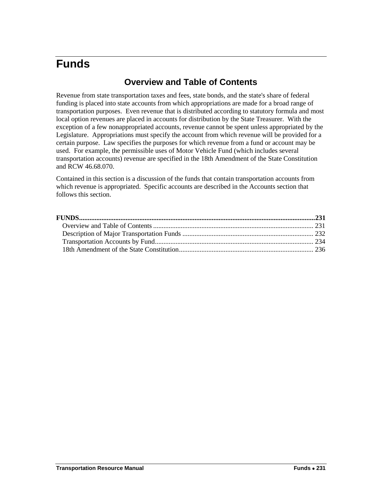# <span id="page-0-1"></span><span id="page-0-0"></span>**Funds**

## **Overview and Table of Contents**

Revenue from state transportation taxes and fees, state bonds, and the state's share of federal funding is placed into state accounts from which appropriations are made for a broad range of transportation purposes. Even revenue that is distributed according to statutory formula and most local option revenues are placed in accounts for distribution by the State Treasurer. With the exception of a few nonappropriated accounts, revenue cannot be spent unless appropriated by the Legislature. Appropriations must specify the account from which revenue will be provided for a certain purpose. Law specifies the purposes for which revenue from a fund or account may be used. For example, the permissible uses of Motor Vehicle Fund (which includes several transportation accounts) revenue are specified in the 18th Amendment of the State Constitution and RCW 46.68.070.

Contained in this section is a discussion of the funds that contain transportation accounts from which revenue is appropriated. Specific accounts are described in the Accounts section that follows this section.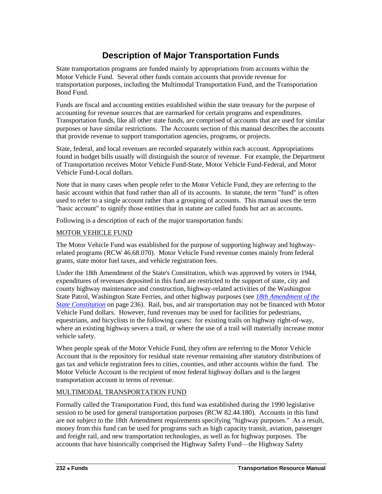# **Description of Major Transportation Funds**

<span id="page-1-0"></span>State transportation programs are funded mainly by appropriations from accounts within the Motor Vehicle Fund. Several other funds contain accounts that provide revenue for transportation purposes, including the Multimodal Transportation Fund, and the Transportation Bond Fund.

Funds are fiscal and accounting entities established within the state treasury for the purpose of accounting for revenue sources that are earmarked for certain programs and expenditures. Transportation funds, like all other state funds, are comprised of accounts that are used for similar purposes or have similar restrictions. The Accounts section of this manual describes the accounts that provide revenue to support transportation agencies, programs, or projects.

State, federal, and local revenues are recorded separately within each account. Appropriations found in budget bills usually will distinguish the source of revenue. For example, the Department of Transportation receives Motor Vehicle Fund-State, Motor Vehicle Fund-Federal, and Motor Vehicle Fund-Local dollars.

Note that in many cases when people refer to the Motor Vehicle Fund, they are referring to the basic account within that fund rather than all of its accounts. In statute, the term "fund" is often used to refer to a single account rather than a grouping of accounts. This manual uses the term "basic account" to signify those entities that in statute are called funds but act as accounts.

Following is a description of each of the major transportation funds:

### MOTOR VEHICLE FUND

The Motor Vehicle Fund was established for the purpose of supporting highway and highwayrelated programs (RCW 46.68.070). Motor Vehicle Fund revenue comes mainly from federal grants, state motor fuel taxes, and vehicle registration fees.

Under the 18th Amendment of the State's Constitution, which was approved by voters in 1944, expenditures of revenues deposited in this fund are restricted to the support of state, city and county highway maintenance and construction, highway-related activities of the Washington State Patrol, Washington State Ferries, and other highway purposes (see *[18th Amendment of the](#page-5-0)  [State Constitution](#page-5-0)* on page [236\)](#page-5-0). Rail, bus, and air transportation may not be financed with Motor Vehicle Fund dollars. However, fund revenues may be used for facilities for pedestrians, equestrians, and bicyclists in the following cases: for existing trails on highway right-of-way, where an existing highway severs a trail, or where the use of a trail will materially increase motor vehicle safety.

When people speak of the Motor Vehicle Fund, they often are referring to the Motor Vehicle Account that is the repository for residual state revenue remaining after statutory distributions of gas tax and vehicle registration fees to cities, counties, and other accounts within the fund. The Motor Vehicle Account is the recipient of most federal highway dollars and is the largest transportation account in terms of revenue.

### MULTIMODAL TRANSPORTATION FUND

Formally called the Transportation Fund, this fund was established during the 1990 legislative session to be used for general transportation purposes (RCW 82.44.180). Accounts in this fund are not subject to the 18th Amendment requirements specifying "highway purposes." As a result, money from this fund can be used for programs such as high capacity transit, aviation, passenger and freight rail, and new transportation technologies, as well as for highway purposes. The accounts that have historically comprised the Highway Safety Fund—the Highway Safety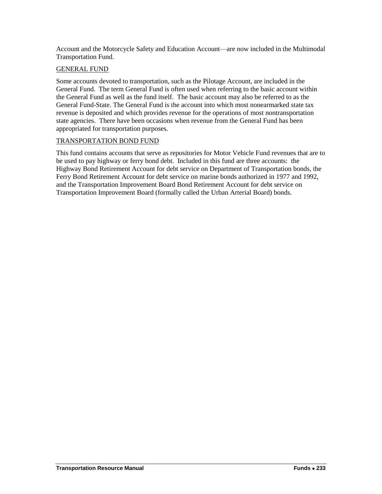Account and the Motorcycle Safety and Education Account—are now included in the Multimodal Transportation Fund.

### GENERAL FUND

Some accounts devoted to transportation, such as the Pilotage Account, are included in the General Fund. The term General Fund is often used when referring to the basic account within the General Fund as well as the fund itself. The basic account may also be referred to as the General Fund-State. The General Fund is the account into which most nonearmarked state tax revenue is deposited and which provides revenue for the operations of most nontransportation state agencies. There have been occasions when revenue from the General Fund has been appropriated for transportation purposes.

### TRANSPORTATION BOND FUND

This fund contains accounts that serve as repositories for Motor Vehicle Fund revenues that are to be used to pay highway or ferry bond debt. Included in this fund are three accounts: the Highway Bond Retirement Account for debt service on Department of Transportation bonds, the Ferry Bond Retirement Account for debt service on marine bonds authorized in 1977 and 1992, and the Transportation Improvement Board Bond Retirement Account for debt service on Transportation Improvement Board (formally called the Urban Arterial Board) bonds.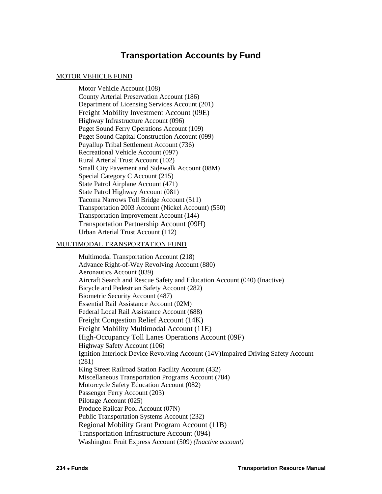### **Transportation Accounts by Fund**

### <span id="page-3-0"></span>MOTOR VEHICLE FUND

Motor Vehicle Account (108) County Arterial Preservation Account (186) Department of Licensing Services Account (201) Freight Mobility Investment Account (09E) Highway Infrastructure Account (096) Puget Sound Ferry Operations Account (109) Puget Sound Capital Construction Account (099) Puyallup Tribal Settlement Account (736) Recreational Vehicle Account (097) Rural Arterial Trust Account (102) Small City Pavement and Sidewalk Account (08M) Special Category C Account (215) State Patrol Airplane Account (471) State Patrol Highway Account (081) Tacoma Narrows Toll Bridge Account (511) Transportation 2003 Account (Nickel Account) (550) Transportation Improvement Account (144) Transportation Partnership Account (09H) Urban Arterial Trust Account (112)

### MULTIMODAL TRANSPORTATION FUND

Multimodal Transportation Account (218) Advance Right-of-Way Revolving Account (880) Aeronautics Account (039) Aircraft Search and Rescue Safety and Education Account (040) (Inactive) Bicycle and Pedestrian Safety Account (282) Biometric Security Account (487) Essential Rail Assistance Account (02M) Federal Local Rail Assistance Account (688) Freight Congestion Relief Account (14K) Freight Mobility Multimodal Account (11E) High-Occupancy Toll Lanes Operations Account (09F) Highway Safety Account (106) Ignition Interlock Device Revolving Account (14V)Impaired Driving Safety Account (281) King Street Railroad Station Facility Account (432) Miscellaneous Transportation Programs Account (784) Motorcycle Safety Education Account (082) Passenger Ferry Account (203) Pilotage Account (025) Produce Railcar Pool Account (07N) Public Transportation Systems Account (232) Regional Mobility Grant Program Account (11B) Transportation Infrastructure Account (094) Washington Fruit Express Account (509) *(Inactive account)*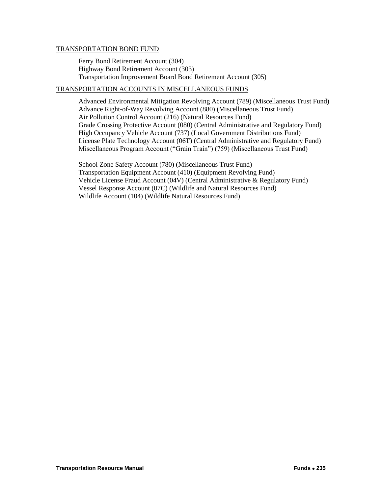### TRANSPORTATION BOND FUND

Ferry Bond Retirement Account (304) Highway Bond Retirement Account (303) Transportation Improvement Board Bond Retirement Account (305)

### TRANSPORTATION ACCOUNTS IN MISCELLANEOUS FUNDS

Advanced Environmental Mitigation Revolving Account (789) (Miscellaneous Trust Fund) Advance Right-of-Way Revolving Account (880) (Miscellaneous Trust Fund) Air Pollution Control Account (216) (Natural Resources Fund) Grade Crossing Protective Account (080) (Central Administrative and Regulatory Fund) High Occupancy Vehicle Account (737) (Local Government Distributions Fund) License Plate Technology Account (06T) (Central Administrative and Regulatory Fund) Miscellaneous Program Account ("Grain Train") (759) (Miscellaneous Trust Fund)

School Zone Safety Account (780) (Miscellaneous Trust Fund) Transportation Equipment Account (410) (Equipment Revolving Fund) Vehicle License Fraud Account (04V) (Central Administrative & Regulatory Fund) Vessel Response Account (07C) (Wildlife and Natural Resources Fund) Wildlife Account (104) (Wildlife Natural Resources Fund)